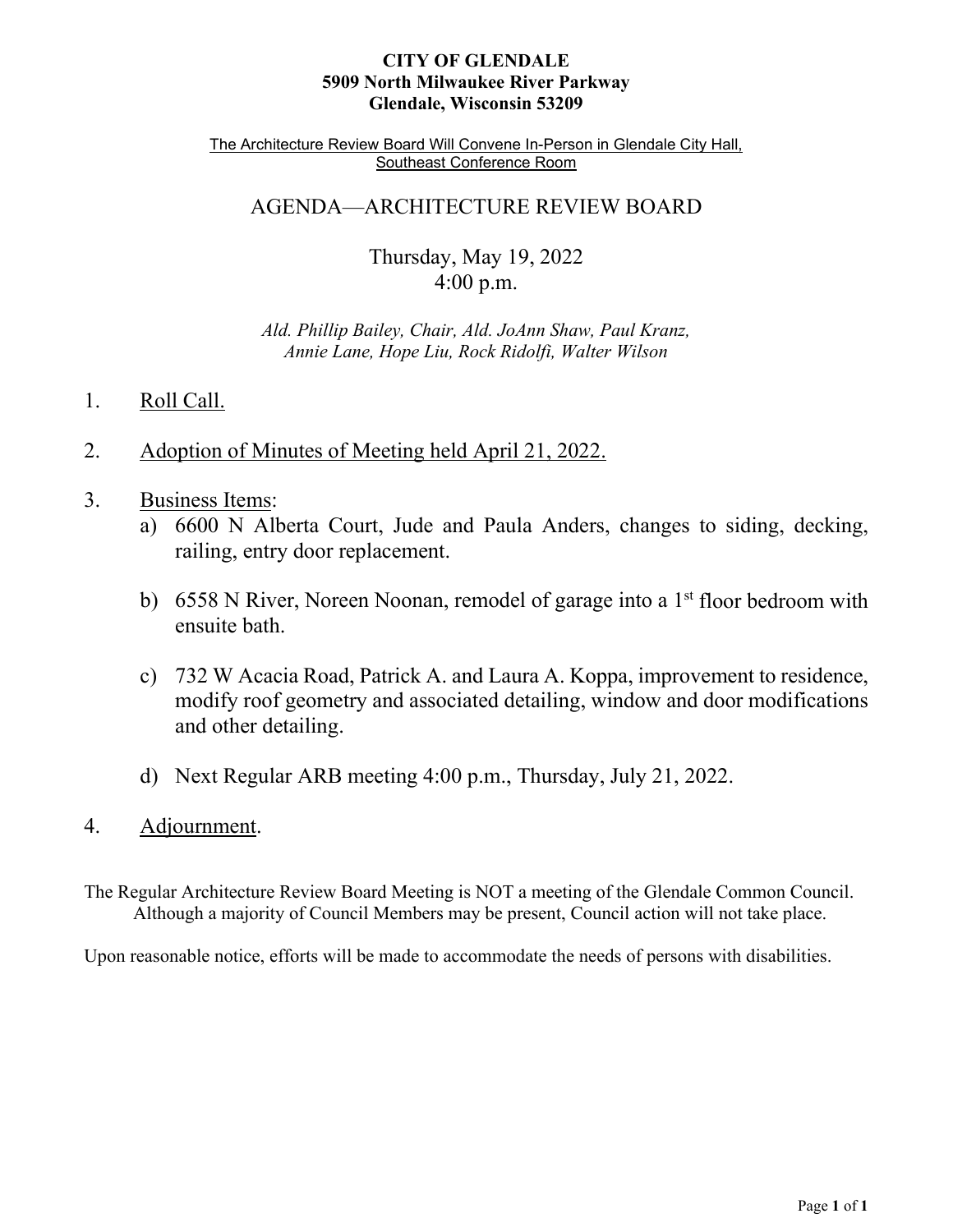# **CITY OF GLENDALE 5909 North Milwaukee River Parkway Glendale, Wisconsin 53209**

The Architecture Review Board Will Convene In-Person in Glendale City Hall, Southeast Conference Room

# AGENDA—ARCHITECTURE REVIEW BOARD

Thursday, May 19, 2022 4:00 p.m.

*Ald. Phillip Bailey, Chair, Ald. JoAnn Shaw, Paul Kranz, Annie Lane, Hope Liu, Rock Ridolfi, Walter Wilson* 

# 1. Roll Call.

- 2. [Adoption of Minutes of Meeting held April 21, 2022.](#page-1-0)
- 3. Business Items:
	- a) 6600 N Alberta Court, [Jude and Paula Anders, changes to siding, decking,](#page-3-0) railing, entry door replacement.
	- b) 6558 N River, Noreen Noonan, remodel of garage into a  $1<sup>st</sup>$  floor bedroom with ensuite bath.
	- c) 732 W Acacia Road, Patrick A. and Laura A. Koppa, improvement to residence, [modify roof geometry and associated detailing, window and door modifications](#page-6-0) and other detailing.
	- d) Next Regular ARB meeting 4:00 p.m., Thursday, July 21, 2022.
- 4. Adjournment.

The Regular Architecture Review Board Meeting is NOT a meeting of the Glendale Common Council. Although a majority of Council Members may be present, Council action will not take place.

Upon reasonable notice, efforts will be made to accommodate the needs of persons with disabilities.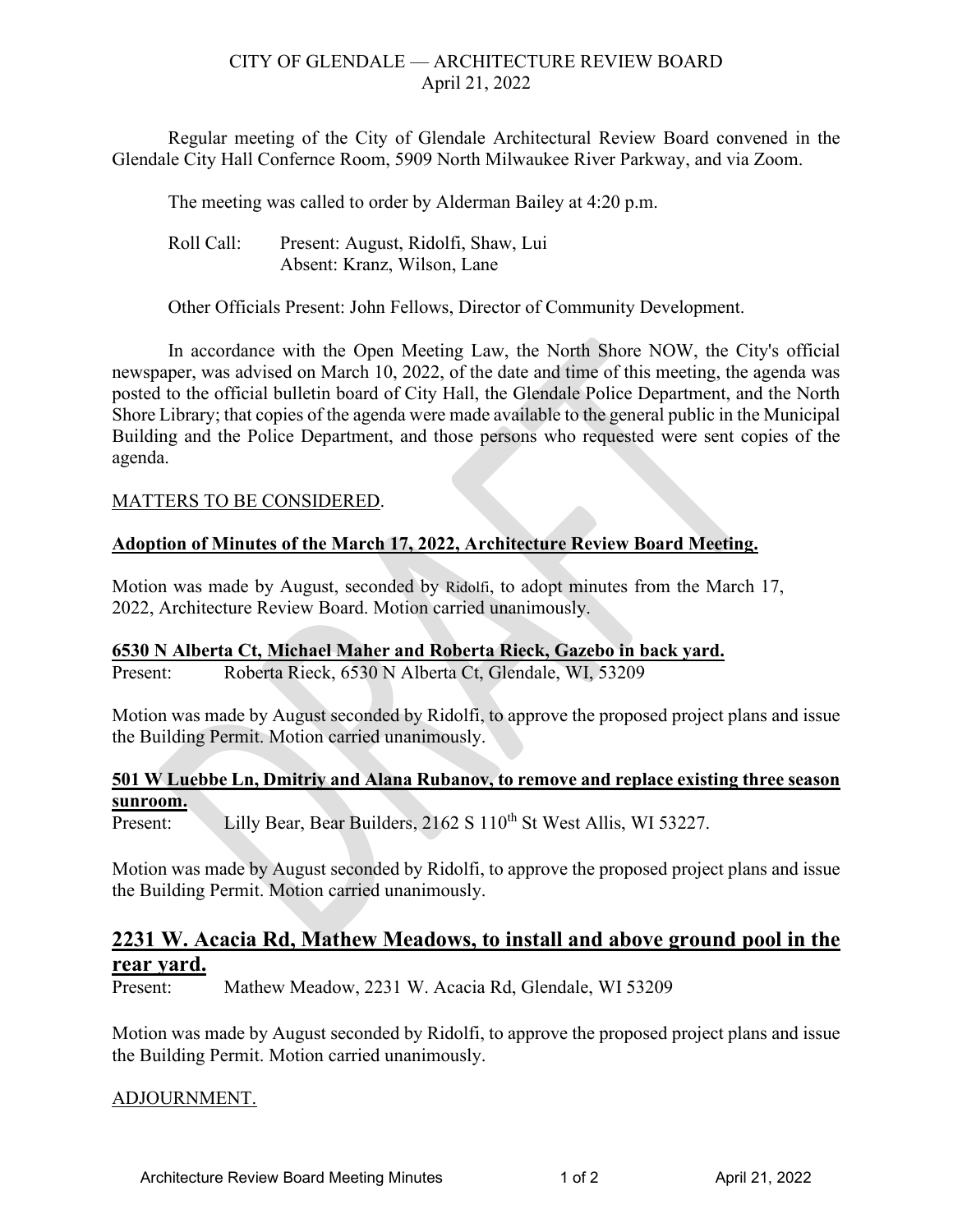# CITY OF GLENDALE — ARCHITECTURE REVIEW BOARD April 21, 2022

<span id="page-1-0"></span>Regular meeting of the City of Glendale Architectural Review Board convened in the Glendale City Hall Confernce Room, 5909 North Milwaukee River Parkway, and via Zoom.

The meeting was called to order by Alderman Bailey at 4:20 p.m.

Roll Call: Present: August, Ridolfi, Shaw, Lui Absent: Kranz, Wilson, Lane

Other Officials Present: John Fellows, Director of Community Development.

In accordance with the Open Meeting Law, the North Shore NOW, the City's official newspaper, was advised on March 10, 2022, of the date and time of this meeting, the agenda was posted to the official bulletin board of City Hall, the Glendale Police Department, and the North Shore Library; that copies of the agenda were made available to the general public in the Municipal Building and the Police Department, and those persons who requested were sent copies of the agenda.

# MATTERS TO BE CONSIDERED.

# **Adoption of Minutes of the March 17, 2022, Architecture Review Board Meeting.**

Motion was made by August, seconded by Ridolfi, to adopt minutes from the March 17, 2022, Architecture Review Board. Motion carried unanimously.

# **6530 N Alberta Ct, Michael Maher and Roberta Rieck, Gazebo in back yard.**

Present: Roberta Rieck, 6530 N Alberta Ct, Glendale, WI, 53209

Motion was made by August seconded by Ridolfi, to approve the proposed project plans and issue the Building Permit. Motion carried unanimously.

# **501 W Luebbe Ln, Dmitriy and Alana Rubanov, to remove and replace existing three season sunroom.**

Present: Lilly Bear, Bear Builders, 2162 S 110<sup>th</sup> St West Allis, WI 53227.

Motion was made by August seconded by Ridolfi, to approve the proposed project plans and issue the Building Permit. Motion carried unanimously.

# **2231 W. Acacia Rd, Mathew Meadows, to install and above ground pool in the rear yard.**

Present: Mathew Meadow, 2231 W. Acacia Rd, Glendale, WI 53209

Motion was made by August seconded by Ridolfi, to approve the proposed project plans and issue the Building Permit. Motion carried unanimously.

# ADJOURNMENT.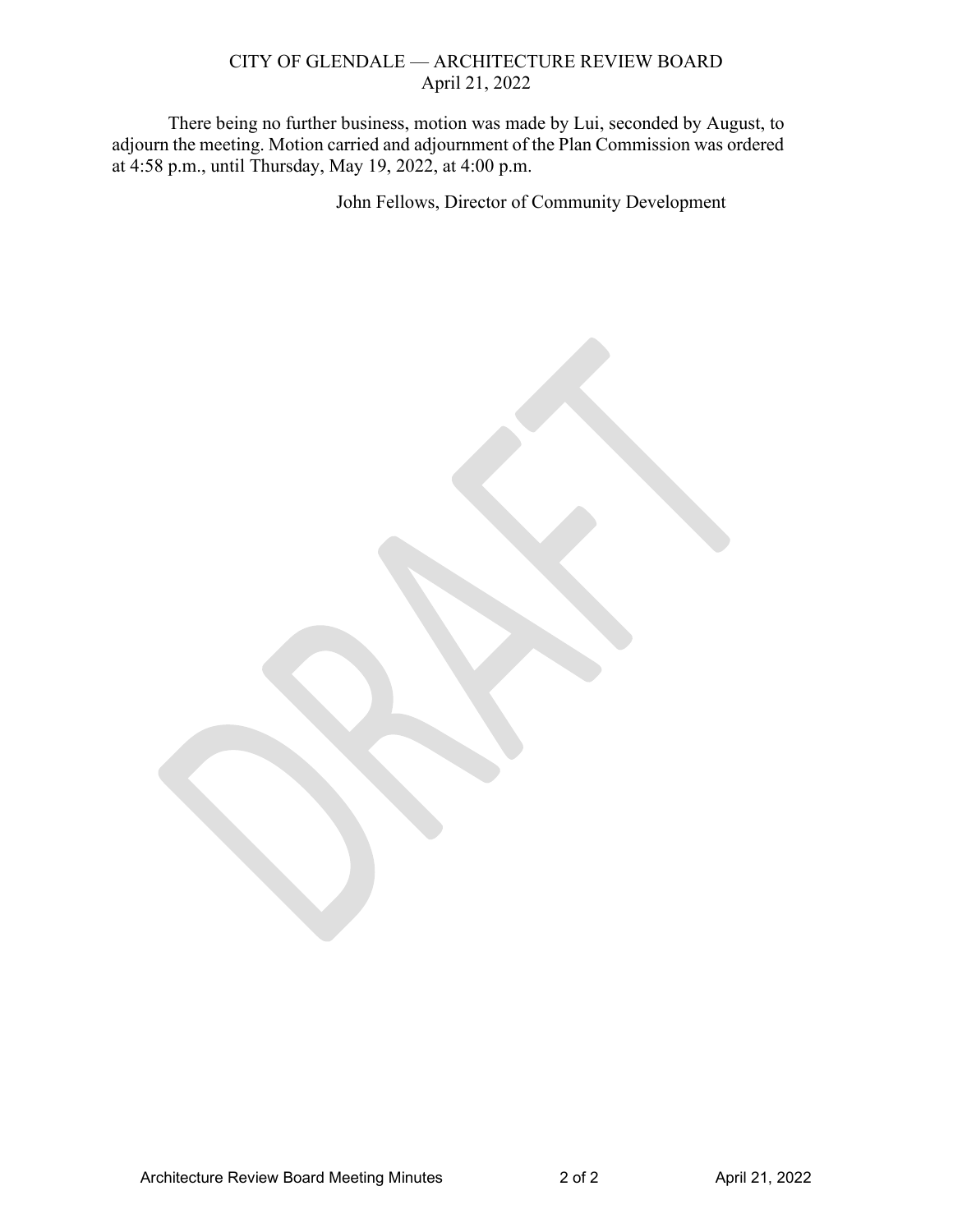## CITY OF GLENDALE — ARCHITECTURE REVIEW BOARD April 21, 2022

There being no further business, motion was made by Lui, seconded by August, to adjourn the meeting. Motion carried and adjournment of the Plan Commission was ordered at 4:58 p.m., until Thursday, May 19, 2022, at 4:00 p.m.

John Fellows, Director of Community Development

Architecture Review Board Meeting Minutes 2 of 2 April 21, 2022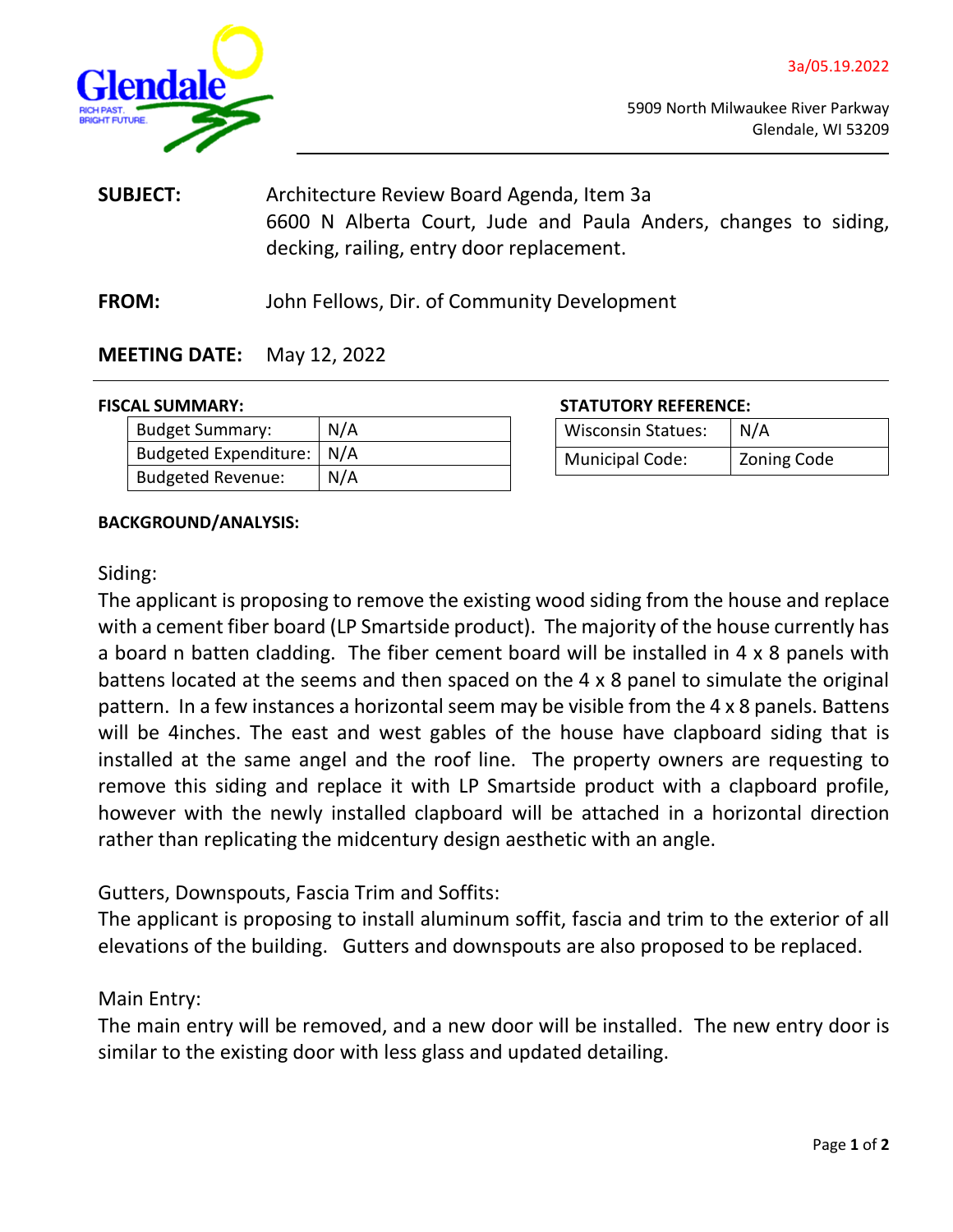<span id="page-3-0"></span>

- **SUBJECT:** Architecture Review Board Agenda, Item 3a 6600 N Alberta Court, Jude and Paula Anders, changes to siding, decking, railing, entry door replacement.
- **FROM:** John Fellows, Dir. of Community Development

# **MEETING DATE:** May 12, 2022

| <b>Budget Summary:</b>      | N/A |
|-----------------------------|-----|
| Budgeted Expenditure:   N/A |     |
| <b>Budgeted Revenue:</b>    | N/A |

**FISCAL SUMMARY: STATUTORY REFERENCE:**

| <b>Wisconsin Statues:</b> | N/A         |
|---------------------------|-------------|
| <b>Municipal Code:</b>    | Zoning Code |

# **BACKGROUND/ANALYSIS:**

# Siding:

The applicant is proposing to remove the existing wood siding from the house and replace with a cement fiber board (LP Smartside product). The majority of the house currently has a board n batten cladding. The fiber cement board will be installed in 4 x 8 panels with battens located at the seems and then spaced on the 4 x 8 panel to simulate the original pattern. In a few instances a horizontal seem may be visible from the 4 x 8 panels. Battens will be 4inches. The east and west gables of the house have clapboard siding that is installed at the same angel and the roof line. The property owners are requesting to remove this siding and replace it with LP Smartside product with a clapboard profile, however with the newly installed clapboard will be attached in a horizontal direction rather than replicating the midcentury design aesthetic with an angle.

# Gutters, Downspouts, Fascia Trim and Soffits:

The applicant is proposing to install aluminum soffit, fascia and trim to the exterior of all elevations of the building. Gutters and downspouts are also proposed to be replaced.

# Main Entry:

The main entry will be removed, and a new door will be installed. The new entry door is similar to the existing door with less glass and updated detailing.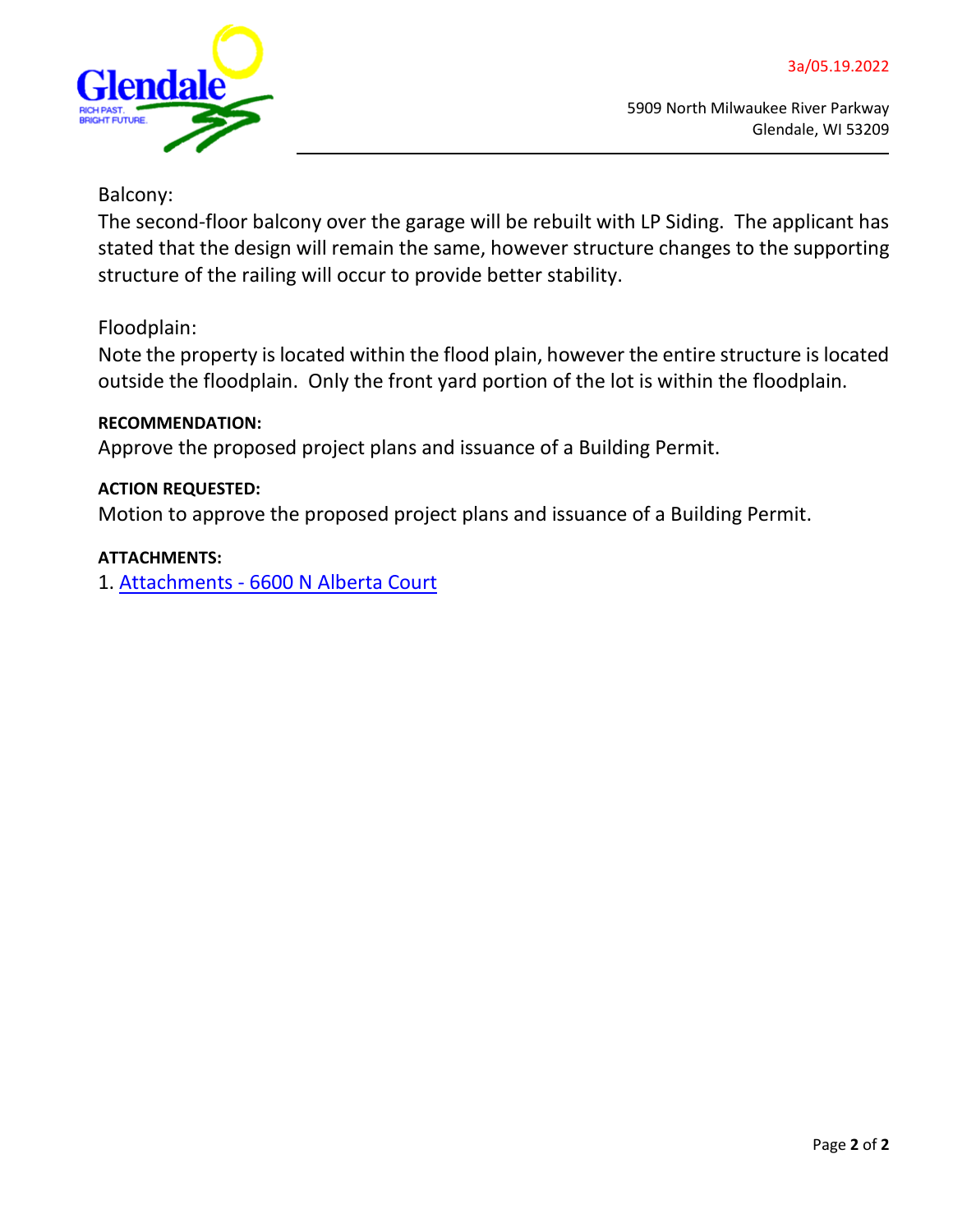

# Balcony:

The second-floor balcony over the garage will be rebuilt with LP Siding. The applicant has stated that the design will remain the same, however structure changes to the supporting structure of the railing will occur to provide better stability.

# Floodplain:

Note the property is located within the flood plain, however the entire structure is located outside the floodplain. Only the front yard portion of the lot is within the floodplain.

# **RECOMMENDATION:**

Approve the proposed project plans and issuance of a Building Permit.

# **ACTION REQUESTED:**

Motion to approve the proposed project plans and issuance of a Building Permit.

# **ATTACHMENTS:**

1. [Attachments - 6600 N Alberta Court](https://www.glendale-wi.org/DocumentCenter/View/2671/3a-Attachment-6600-N-Alberta-Ct-Application)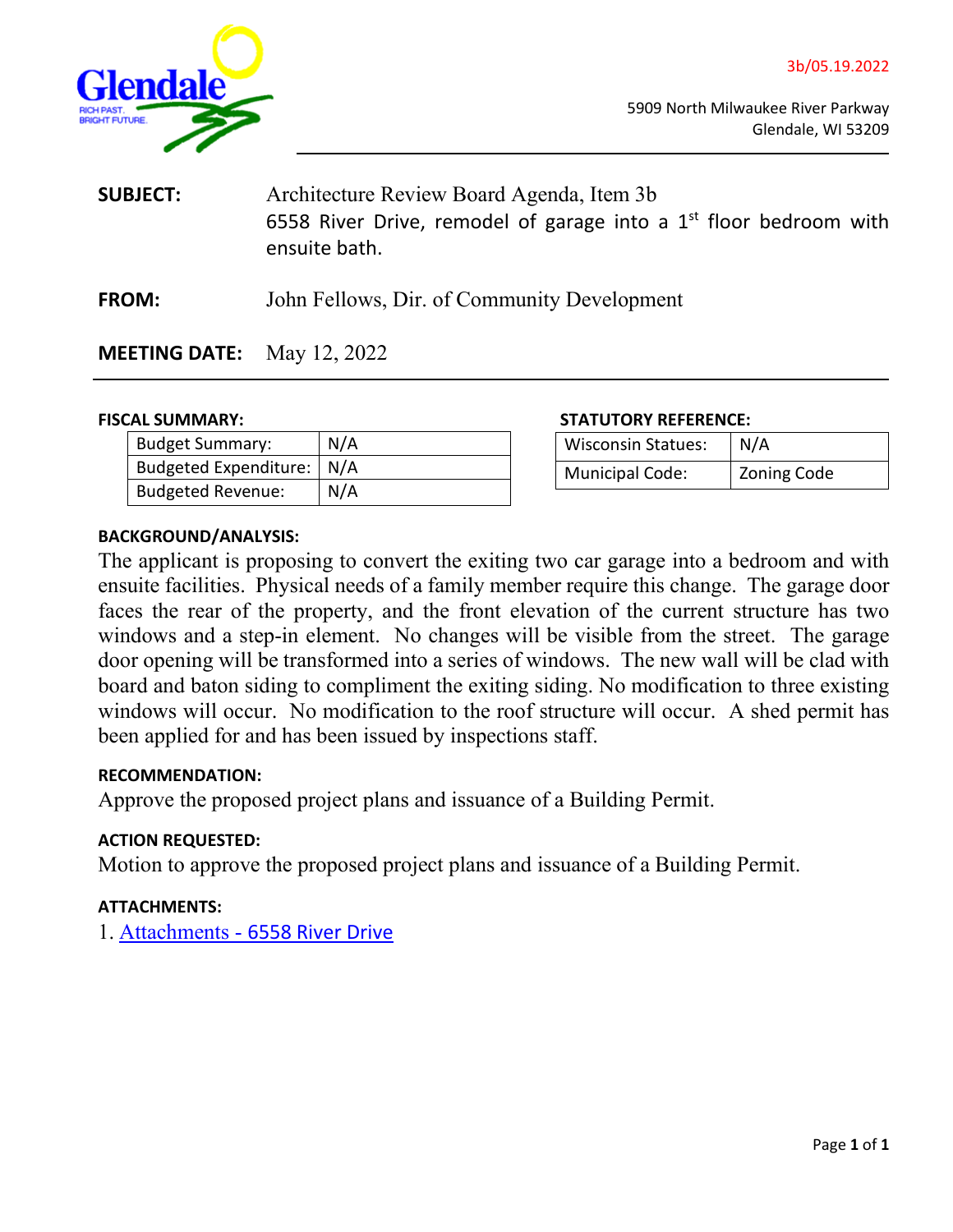<span id="page-5-0"></span>

| <b>SUBJECT:</b> | Architecture Review Board Agenda, Item 3b                           |
|-----------------|---------------------------------------------------------------------|
|                 | 6558 River Drive, remodel of garage into a $1st$ floor bedroom with |
|                 | ensuite bath.                                                       |
|                 |                                                                     |

**FROM:** John Fellows, Dir. of Community Development

**MEETING DATE:** May 12, 2022

| <b>Budget Summary:</b>      | N/A |
|-----------------------------|-----|
| Budgeted Expenditure:   N/A |     |
| Budgeted Revenue:           | N/A |

#### **FISCAL SUMMARY: STATUTORY REFERENCE:**

| <b>Wisconsin Statues:</b> | N/A                |
|---------------------------|--------------------|
| <b>Municipal Code:</b>    | <b>Zoning Code</b> |

#### **BACKGROUND/ANALYSIS:**

The applicant is proposing to convert the exiting two car garage into a bedroom and with ensuite facilities. Physical needs of a family member require this change. The garage door faces the rear of the property, and the front elevation of the current structure has two windows and a step-in element. No changes will be visible from the street. The garage door opening will be transformed into a series of windows. The new wall will be clad with board and baton siding to compliment the exiting siding. No modification to three existing windows will occur. No modification to the roof structure will occur. A shed permit has been applied for and has been issued by inspections staff.

# **RECOMMENDATION:**

Approve the proposed project plans and issuance of a Building Permit.

# **ACTION REQUESTED:**

Motion to approve the proposed project plans and issuance of a Building Permit.

## **ATTACHMENTS:**

1. [Attachments -](https://www.glendale-wi.org/DocumentCenter/View/2672/3b-Attachment---NOONAN-RESIDENCE-REMODELING-6558-N-RIVER-GLENDALE-PERMIT-SET-04-27-22-REV) [6558 River Drive](https://www.glendale-wi.org/DocumentCenter/View/2672/3b-Attachment---NOONAN-RESIDENCE-REMODELING-6558-N-RIVER-GLENDALE-PERMIT-SET-04-27-22-REV)